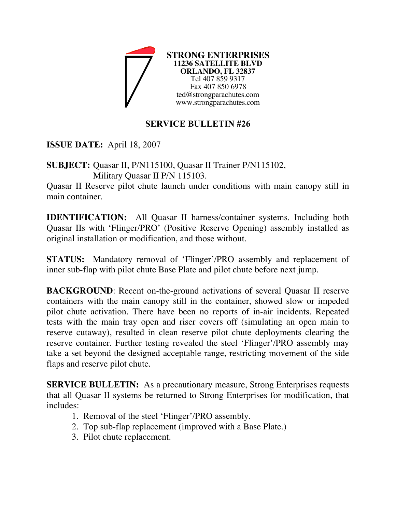

## **SERVICE BULLETIN #26**

**ISSUE DATE:** April 18, 2007

**SUBJECT:** Quasar II, P/N115100, Quasar II Trainer P/N115102, Military Quasar II P/N 115103.

Quasar II Reserve pilot chute launch under conditions with main canopy still in main container.

**IDENTIFICATION:** All Quasar II harness/container systems. Including both Quasar IIs with 'Flinger/PRO' (Positive Reserve Opening) assembly installed as original installation or modification, and those without.

**STATUS:** Mandatory removal of 'Flinger'/PRO assembly and replacement of inner sub-flap with pilot chute Base Plate and pilot chute before next jump.

**BACKGROUND**: Recent on-the-ground activations of several Quasar II reserve containers with the main canopy still in the container, showed slow or impeded pilot chute activation. There have been no reports of in-air incidents. Repeated tests with the main tray open and riser covers off (simulating an open main to reserve cutaway), resulted in clean reserve pilot chute deployments clearing the reserve container. Further testing revealed the steel 'Flinger'/PRO assembly may take a set beyond the designed acceptable range, restricting movement of the side flaps and reserve pilot chute.

**SERVICE BULLETIN:** As a precautionary measure, Strong Enterprises requests that all Quasar II systems be returned to Strong Enterprises for modification, that includes:

- 1. Removal of the steel 'Flinger'/PRO assembly.
- 2. Top sub-flap replacement (improved with a Base Plate.)
- 3. Pilot chute replacement.